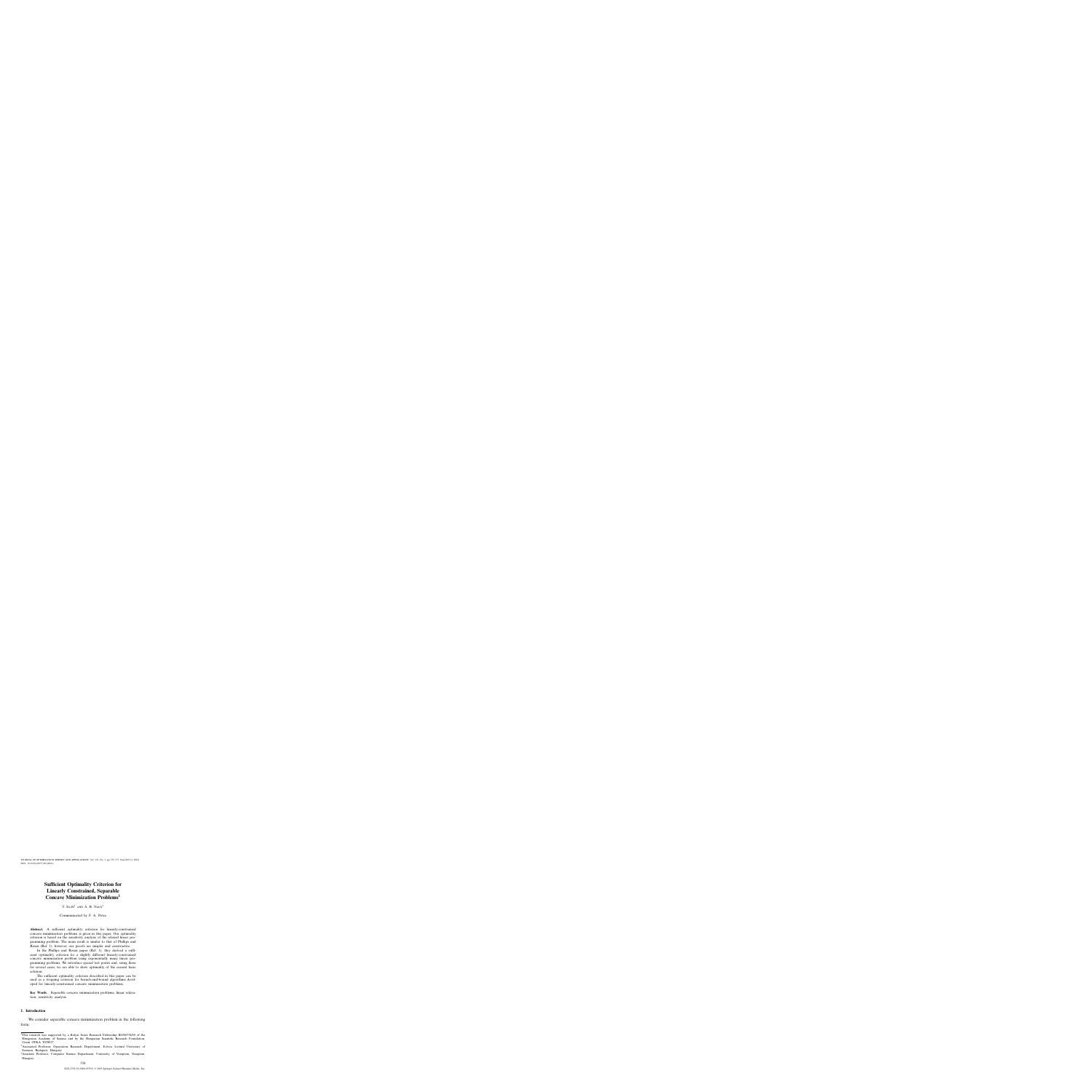# **Sufficient Optimality Criterion for Linearly Constrained, Separable Concave Minimization Problems1**

 $T.$  ILLÉS<sup>2</sup> AND  $\acute{A}$ . B. Nagy<sup>3</sup>

Communicated by F. A. Potra

Abstract. A sufficient optimality criterion for linearly-constrained concave minimization problems is given in this paper. Our optimality criterion is based on the sensitivity analysis of the relaxed linear programming problem. The main result is similar to that of Phillips and Rosen (Ref. 1); however, our proofs are simpler and constructive.

In the Phillips and Rosen paper (Ref. 1), they derived a sufficient optimality criterion for a slightly different linearly-constrained concave minimization problem using exponentially many linear programming problems. We introduce special test points and, using these for several cases, we are able to show optimality of the current basic solution.

The sufficient optimality criterion described in this paper can be used as a stopping criterion for branch-and-bound algorithms developed for linearly-constrained concave minimization problems.

**Key Words.** Separable concave minimization problems, linear relaxation, sensitivity analysis.

#### **1. Introduction**

We consider separable concave minimization problem in the following form:

<sup>&</sup>lt;sup>1</sup>This research was supported by a Bolyai János Research Fellowship BO/00334/00 of the Hungarian Academy of Science and by the Hungarian Scientific Research Foundation, Grant OTKA T038027.

<sup>&</sup>lt;sup>2</sup>Associated Professor, Operations Research Department, Eötvös Loránd University of Sciences, Budapest, Hungary.

<sup>&</sup>lt;sup>3</sup>Assistant Professor, Computer Science Department, University of Veszprém, Veszprém, Hungary.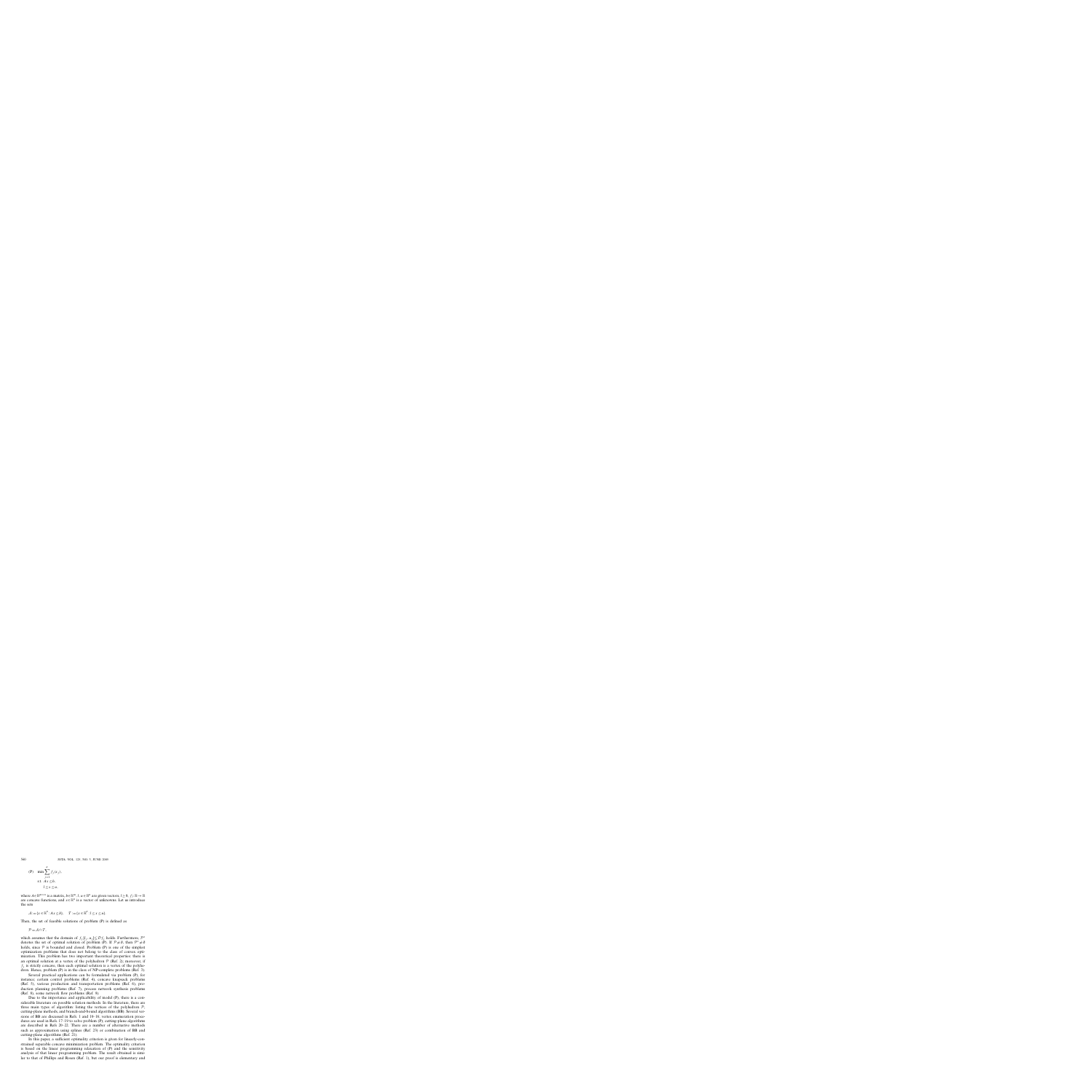(P) 
$$
\min \sum_{j=1}^{n} f_j(x_j)
$$
,  
s.t.  $Ax \leq b$ ,  
 $l \leq x \leq u$ ,

where  $A \in \mathbb{R}^{m \times n}$  is a matrix,  $b \in \mathbb{R}^m$ , *l*,  $u \in \mathbb{R}^n$  are given vectors,  $l \ge 0$ ,  $f_j : \mathbb{R} \to \mathbb{R}$ are concave functions, and  $x \in \mathbb{R}^n$  is a vector of unknowns. Let us introduce the sets

$$
\mathcal{A} := \{x \in \mathbb{R}^n : Ax \leq b\}, \quad \mathcal{T} := \{x \in \mathbb{R}^n : l \leq x \leq u\}.
$$

Then, the set of feasible solutions of problem (P) is defined as

$$
\mathcal{P} = \mathcal{A} \cap \mathcal{T},
$$

which assumes that the domain of  $f_i[l_i, u_j] \subseteq \mathcal{D}f_i$  holds. Furthermore,  $\mathcal{P}^*$ denotes the set of optimal solution of problem (P). If  $P \neq \emptyset$ , then  $P^* \neq \emptyset$ holds, since  $P$  is bounded and closed. Problem (P) is one of the simplest optimization problems that does not belong to the class of convex optimization. This problem has two important theoretical properties: there is an optimal solution at a vertex of the polyhedron  $P$  (Ref. 2); moreover, if  $f_i$  is strictly concave, then each optimal solution is a vertex of the polyhedron. Hence, problem (P) is in the class of NP-complete problems (Ref. 3).

Several practical applications can be formulated via problem (P), for instance; certain control problems (Ref. 4), concave knapsack problems (Ref. 5), various production and transportation problems (Ref. 6), production planning problems (Ref. 7), process network synthesis problems (Ref. 8), some network flow problems (Ref. 9).

Due to the importance and applicability of model (P), there is a considerable literature on possible solution methods. In the literature, there are three main types of algorithm: listing the vertices of the polyhedron  $P$ , cutting-plane methods, and branch-and-bound algorithms (BB). Several versions of BB are discussed in Refs. 1 and 10–16; vertex enumeration procedures are used in Refs. 17–19 to solve problem (P); cutting-plane algorithms are described in Refs 20–22. There are a number of alternative methods such as approximation using splines (Ref. 23) or combination of BB and cutting-plane algorithms (Ref. 21).

In this paper, a sufficient optimality criterion is given for linearly-constrained separable concave minimization problem. The optimality criterion is based on the linear programming relaxation of (P) and the sensitivity analysis of that linear programming problem. The result obtained is similar to that of Phillips and Rosen (Ref. 1), but our proof is elementary and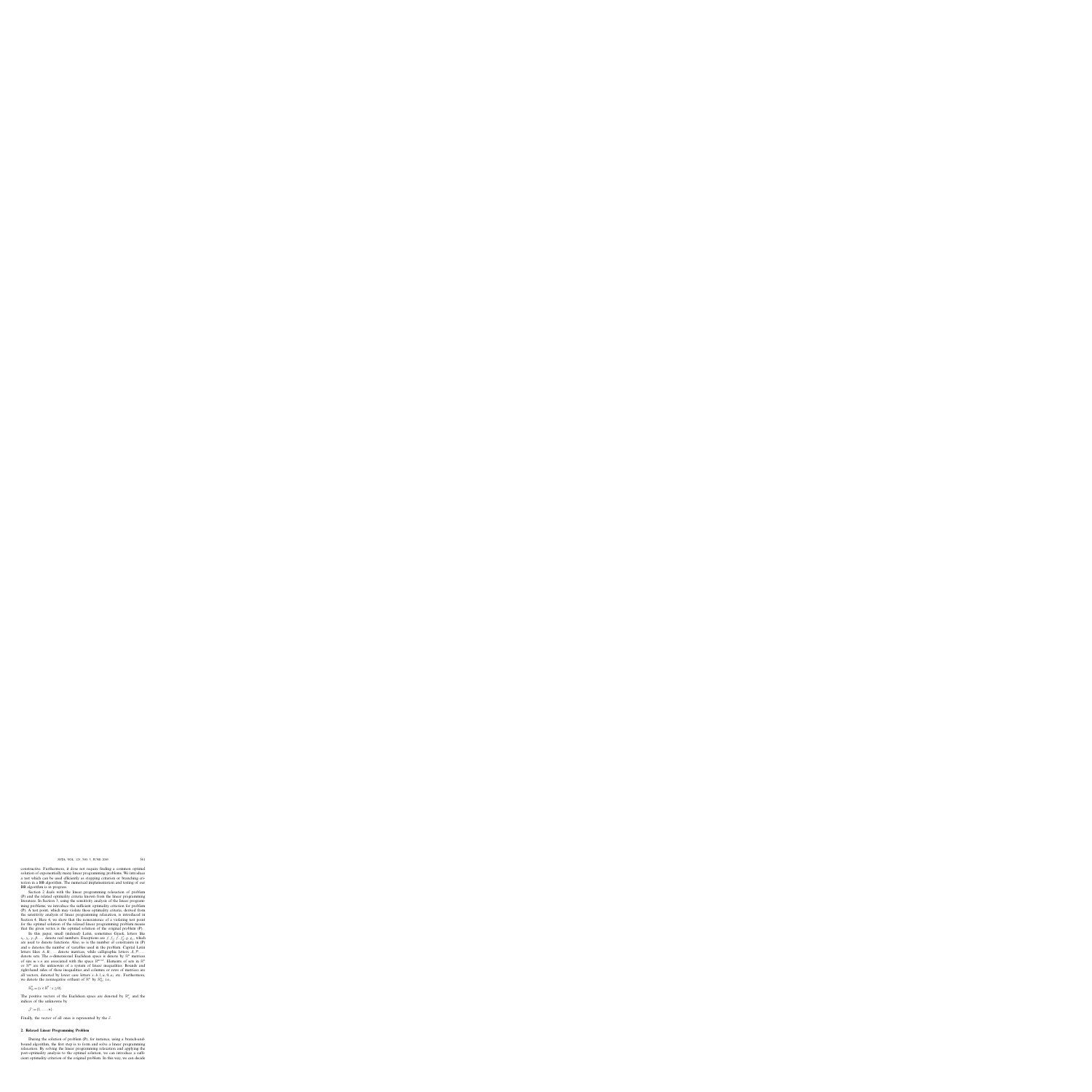constructive. Furthermore, it dose not require finding a common optimal solution of exponentially many linear programming problems. We introduce a test which can be used efficiently as stopping criterion or branching criterion in a BB algorithm. The numerical implementation and testing of our BB algorithm is in progress.

Section 2 deals with the linear programming relaxation of problem (P) and the related optimality criteria known from the linear programming literature. In Section 3, using the sensitivity analysis of the linear programming problems, we introduce the sufficient optimality criterion for problem (P). A test point, which may violate these optimality criteria, derived from the sensitivity analysis of linear programming relaxation, is introduced in Section 4. Here 4, we show that the nonexistence of a violating test point for the optimal solution of the relaxed linear programming problem means that the given vertex is the optimal solution of the original problem (P).

In this paper, small (indexed) Latin, sometimes Greek, letters like  $x_i, y_i, \gamma, \beta, \ldots$  denote real numbers. Exceptions are  $f, f_j, \overline{f}, f_k, g, g_j$ , which are used to denote functions. Also,  $m$  is the number of constraints in  $(P)$ and *n* denotes the number of variables used in the problem. Capital Latin letters likes *A,B,...* denote matrices, while calligraphic letters A*,*P*,...* denote sets. The *n*-dimensional Euclidean space is denote by  $\mathbb{R}^n$  matrices of size  $m \times n$  are associated with the space  $\mathbb{R}^{m \times n}$ . Elements of sets in  $\mathbb{R}^n$ or  $\mathbb{R}^m$  are the unknowns of a system of linear inequalities. Bounds and right-hand sides of these inequalities and columns or rows of matrices are all vectors, denoted by lower case letters  $x, b, l, u, 0, a_j$  etc. Furthermore, we denote the nonnegative orthant of  $\mathbb{R}^n$  by  $\mathbb{R}^n_{\oplus}$ ; i.e.,

$$
\mathbb{R}^n_{\oplus} = \{x \in \mathbb{R}^n : x \ge 0\}.
$$

The positive vectors of the Euclidean space are denoted by  $\mathbb{R}^n_+$  and the indices of the unknowns by

$$
\mathcal{J} := \{1, \ldots, n\}.
$$

Finally, the vector of all ones is represented by the *e*.

## **2. Relaxed Linear Programming Problem**

During the solution of problem (P), for instance, using a branch-andbound algorithm, the first step is to form and solve a linear programming relaxation. By solving the linear programming relaxation and applying the post-optimality analysis to the optimal solution, we can introduce a sufficient optimality criterion of the original problem. In this way, we can decide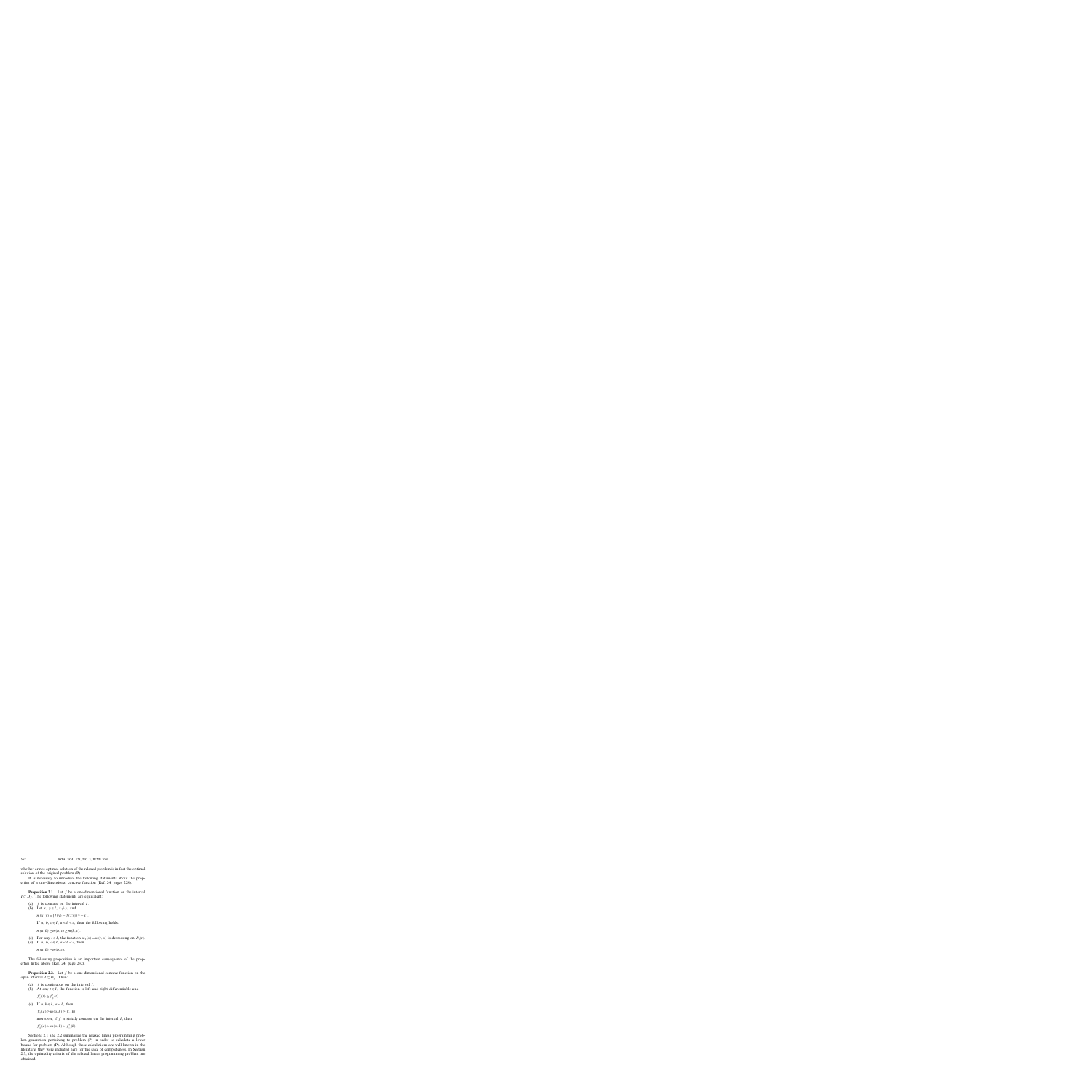whether or not optimal solution of the relaxed problem is in fact the optimal solution of the original problem (P).

It is necessary to introduce the following statements about the properties of a one-dimensional concave function (Ref. 24, pages 228).

**Proposition 2.1.** Let f be a one-dimensional function on the interval  $I \subset D_f$ . The following statements are equivalent:

- (a) *f* is concave on the interval *I* .
- (b) Let  $x, y \in I$ ,  $x \neq y$ , and

 $m(x, y) = [f(y) - f(x)]/(y - x).$ 

If *a*, *b*,  $c \in I$ ,  $a < b < c$ , then the following holds:

 $m(a, b) > m(a, c) > m(b, c).$ 

- (c) For any  $t \in I$ , the function  $m_t(x) = m(t, x)$  is decreasing on  $I \setminus \{t\}$ .
- (d) If *a*, *b*,  $c \in I$ ,  $a < b < c$ , then

 $m(a, b)$ <sup>></sup> $m(b, c)$ .

The following proposition is an important consequence of the properties listed above (Ref. 24, page 232).

**Proposition 2.2.** Let f be a one-dimensional concave function on the open interval  $I \subset D_f$ . Then:

- (a) *f* is continuous on the interval *I* .
- (b) At any  $t \in I$ , the function is left and right differentiable and

 $f'_{-}(t) \geq f'_{+}(t).$ 

(c) If  $a, b \in I$ ,  $a < b$ , then

 $f'_{+}(a) \geq m(a, b) \geq f'_{-}(b);$ 

moreover, if  $f$  is strictly concave on the interval  $I$ , then

 $f'_{+}(a) > m(a, b) > f'_{-}(b).$ 

Sections 2.1 and 2.2 summarize the relaxed linear programming problem generation pertaining to problem (P) in order to calculate a lower bound for problem (P). Although these calculations are well known in the literature, they were included here for the sake of completeness. In Section 2.3, the optimality criteria of the relaxed linear programming problem are obtained.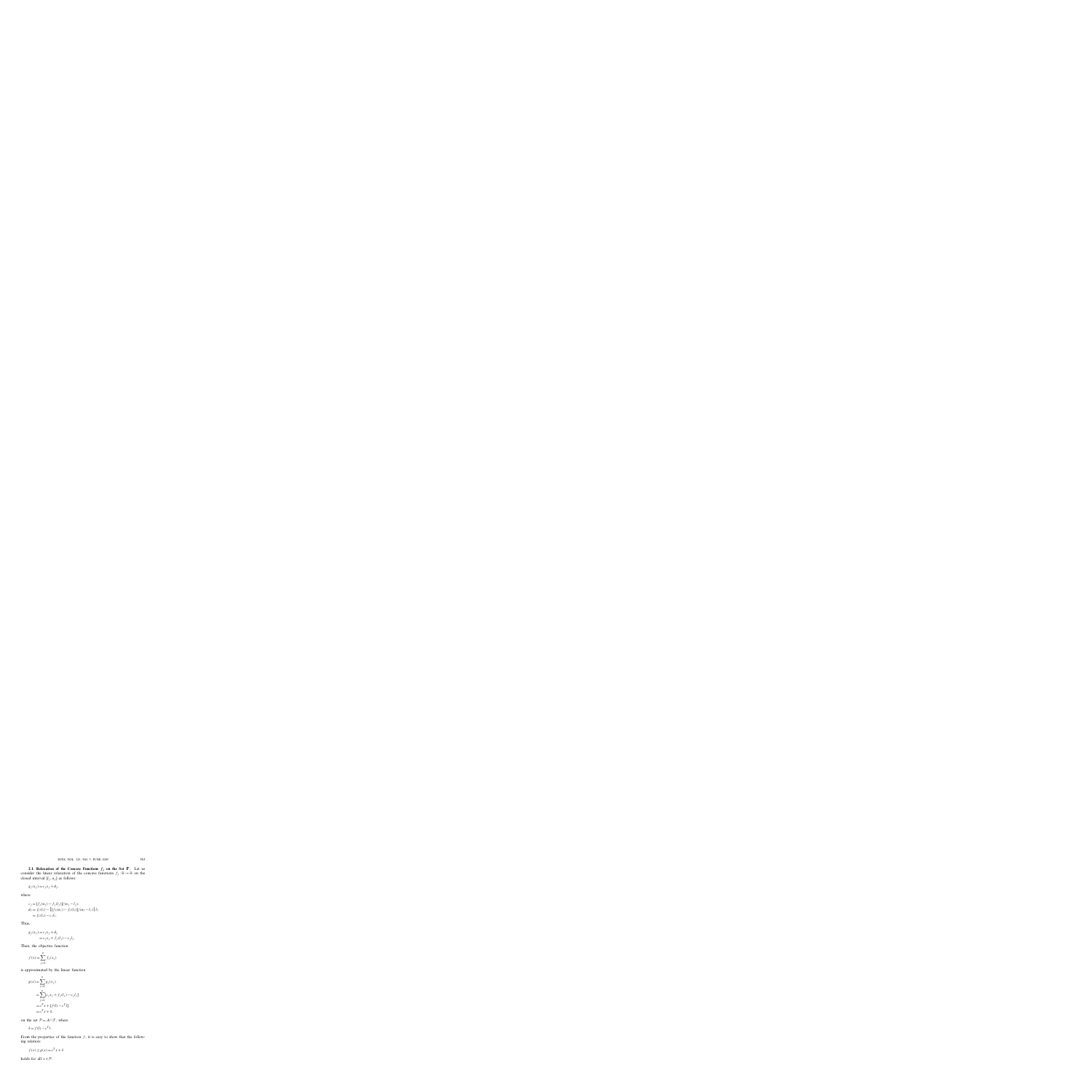**2.1. Relaxation of the Concave Functions**  $f_j$  **on the Set**  $T$ **.** Let us consider the linear relaxation of the concave functions  $f_j : \mathbb{R} \to \mathbb{R}$  on the closed interval  $[l_j, u_j]$  as follows:

$$
g_j(x_j) = c_j x_j + d_j,
$$

where

$$
c_j = [f_j(u_j) - f_j(l_j)]/(u_j - l_j),
$$
  
\n
$$
d_j = f_j(l_j) - \{[f_j(u_j) - f_j(l_j)]/(u_j - l_j)\}l_j
$$
  
\n
$$
= f_j(l_j) - c_jl_j.
$$

Thus,

$$
g_j(x_j) = c_j x_j + d_j
$$
  
=  $c_j x_j + f_j(l_j) - c_j l_j$ .

Then, the objective function

$$
f(x) = \sum_{j=1}^{n} f_j(x_j)
$$

is approximated by the linear function

$$
g(x) = \sum_{j=1}^{n} g_j(x_j)
$$
  
= 
$$
\sum_{j=1}^{n} [c_j x_j + f_j(l_j) - c_j l_j]
$$
  
= 
$$
c^T x + [f(l) - c^T l]
$$
  
= 
$$
c^T x + \delta,
$$

on the set  $P = A \cap T$ , where

$$
\delta = f(l) - c^T l.
$$

From the properties of the function  $f$ , it is easy to show that the following relation:

$$
f(x) \ge g(x) = c^T x + \delta
$$

holds for all  $x \in \mathcal{P}$ .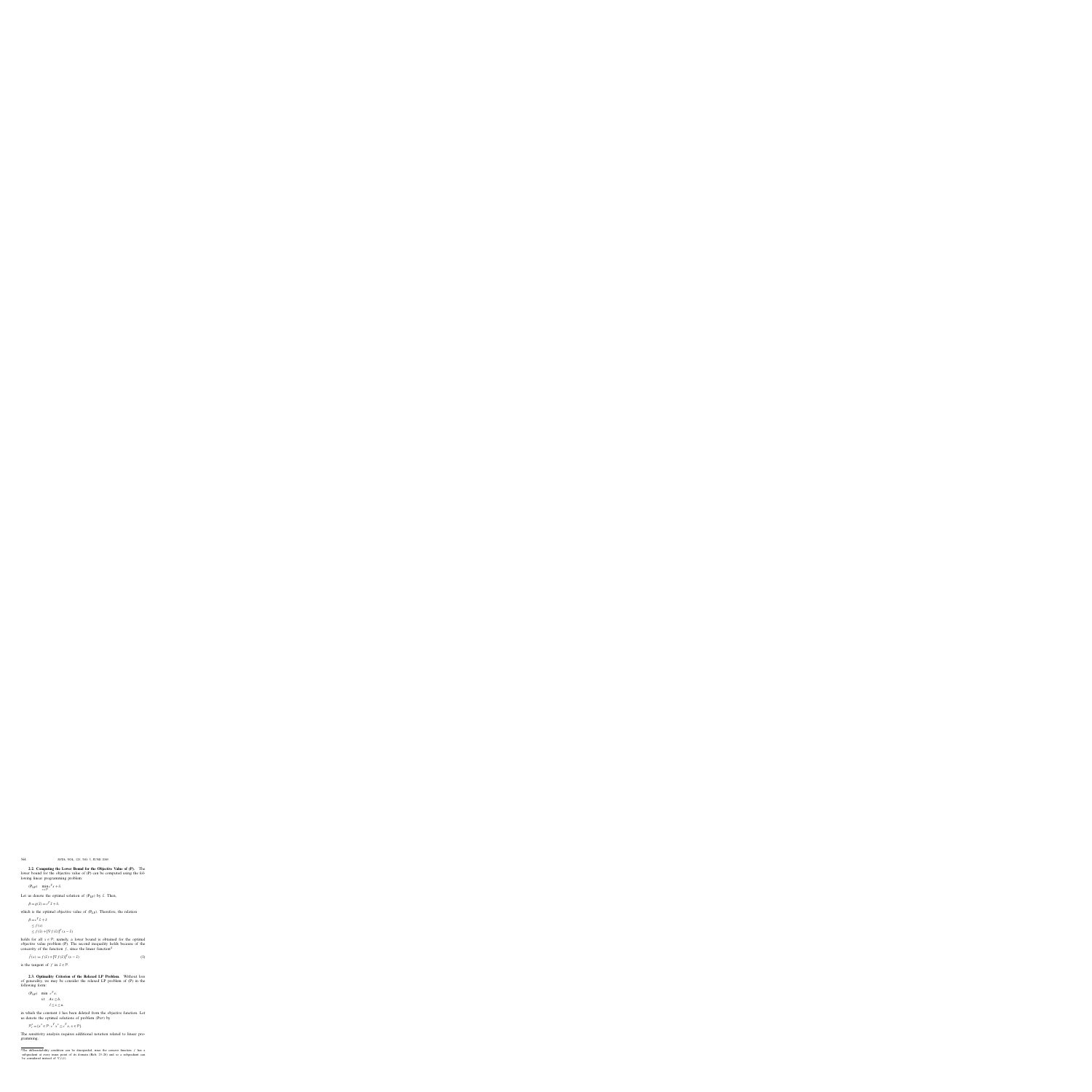**2.2. Computing the Lower Bound for the Objective Value of (P).** The lower bound for the objective value of (P) can be computed using the following linear programming problem:

$$
(\mathbf{P}_{\mathbf{LP}}) \quad \min_{x \in \mathcal{P}} c^T x + \delta.
$$

Let us denote the optimal solution of  $(P_{LP})$  by  $\tilde{x}$ . Then,

$$
\beta = g(\tilde{x}) = c^T \tilde{x} + \delta,
$$

which is the optimal objective value of  $(P_{LP})$ . Therefore, the relation

$$
\beta = c^T \tilde{x} + \delta
$$
  
\n
$$
\leq f(x)
$$
  
\n
$$
\leq f(\tilde{x}) + [\nabla f(\tilde{x})]^T (x - \tilde{x})
$$

holds for all  $x \in \mathcal{P}$ ; namely, a lower bound is obtained for the optimal objective value problem (P). The second inequality holds because of the concavity of the function  $f$ , since the linear function<sup>4</sup>

$$
\bar{f}(x) := f(\tilde{x}) + [\nabla f(\tilde{x})]^T (x - \tilde{x})
$$
\n(1)

is the tangent of *f* in  $\tilde{x} \in \mathcal{P}$ .

**2.3. Optimality Criterion of the Relaxed LP Problem.** Without loss of generality, we may be consider the relaxed LP problem of (P) in the following form:

$$
\begin{aligned} \text{(P}_{\text{LP}}) \quad & \min \ c^T x, \\ & \text{s.t} \quad Ax \leq b, \\ & l < x < u. \end{aligned}
$$

in which the constant  $\delta$  has been deleted from the objective function. Let us denote the optimal solutions of problem *(*PLP*)* by

$$
\mathcal{P}_c^* = \{x^* \in \mathcal{P} : c^T x^* \le c^T x, x \in \mathcal{P}\}.
$$

The sensitivity analysis requires additional notation related to linear programming.

<sup>&</sup>lt;sup>4</sup>The differentiability condition can be disregarded, since the concave function  $f$  has a subgradient at every inner point of its domain (Refs. 25–26) and so a subgradient can be considered instead of  $\nabla f(\tilde{x})$ .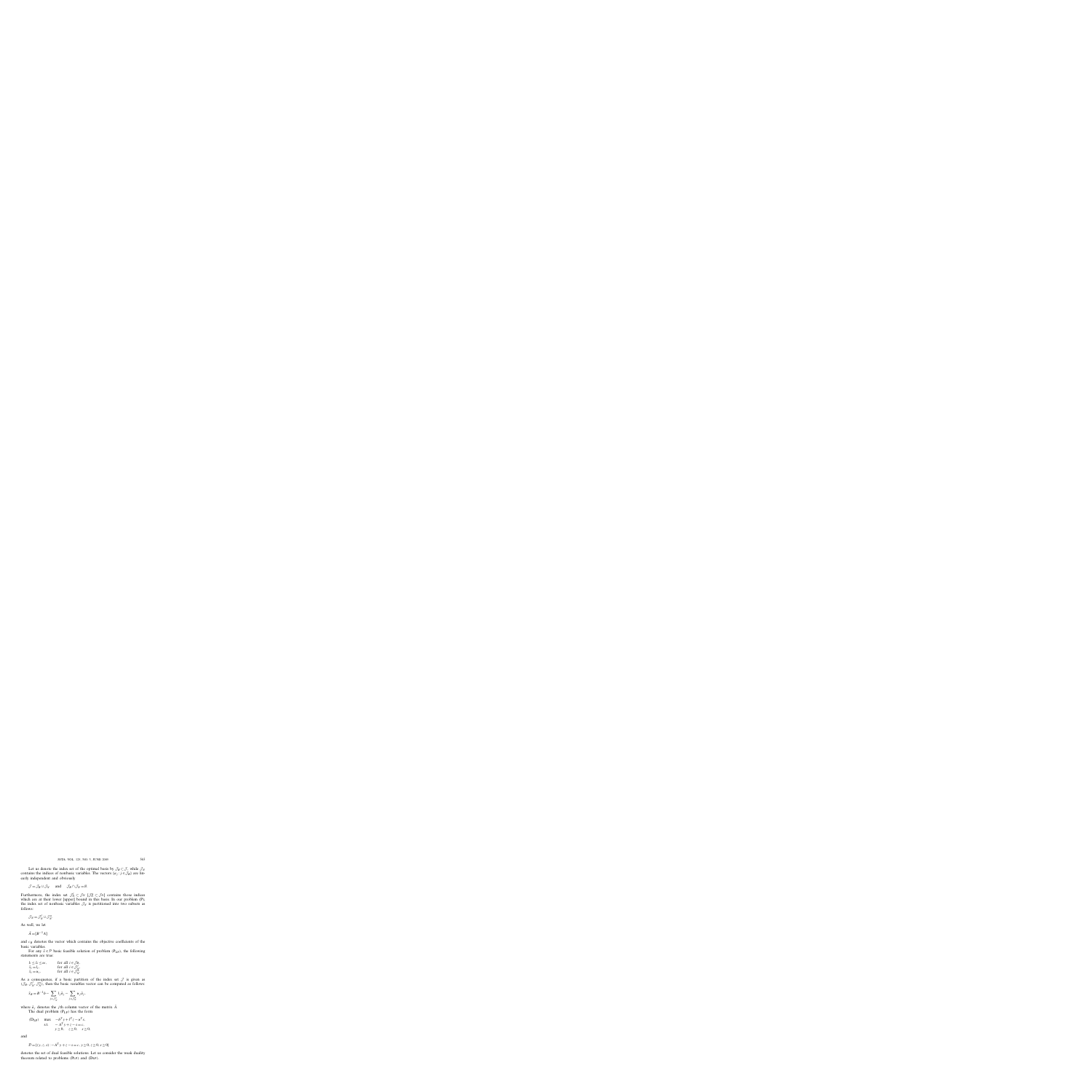Let us denote the index set of the optimal basis by  $\mathcal{J}_B \subset \mathcal{J}$ , while  $\mathcal{J}_N$ contains the indices of nonbasic variables. The vectors  $\{a_j : j \in \mathcal{J}_B\}$  are linearly independent and obviously

$$
\mathcal{J} = \mathcal{J}_B \cup \mathcal{J}_N \quad \text{and} \quad \mathcal{J}_B \cap \mathcal{J}_N = \emptyset.
$$

Furthermore, the index set  $\mathcal{J}_N^l \subset \mathcal{J}_N$  [ $\mathcal{J}_N^u \subset \mathcal{J}_N$ ] contains those indices which are at their lower [upper] bound in this basis. In our problem (P), the index set of nonbasic variables  $\mathcal{J}_N$  is partitioned into two subsets as follows:

$$
\mathcal{J}_N = \mathcal{J}_N^l \cup \mathcal{J}_N^u.
$$

As well, we let

 $\bar{A} = [B^{-1}A]$ 

and *cB* denotes the vector which contains the objective coefficients of the basic variables.

For any  $\bar{x} \in \mathcal{P}$  basic feasible solution of problem *(P<sub>LP</sub>)*, the following statements are true:

| $l_i \leq \bar{x}_i \leq u_i$ , | for all $i \in \mathcal{J}_B$ ,   |
|---------------------------------|-----------------------------------|
| $\bar{x}_i = l_i$ ,             | for all $i \in \mathcal{J}_N^l$ , |
| $x_i = u_i$ ,                   | for all $i \in \mathcal{J}_N^u$ . |

As a consequence, if a basic partition of the index set  $\mathcal I$  is given as  $(\mathcal{J}_B, \mathcal{J}_N^l, \mathcal{J}_N^u)$ , then the basic variables vector can be computed as follows:

$$
\bar{x}_B = B^{-1}b - \sum_{j \in \mathcal{J}_N^l} l_j \bar{a}_j - \sum_{j \in \mathcal{J}_N^u} u_j \bar{a}_j,
$$

where  $\bar{a}_i$  denotes the *j*th column vector of the matrix  $\bar{A}$ .

The dual problem  $(P_{LP})$  has the form

(D<sub>LP</sub>) max 
$$
-b^T y + l^T z - u^T s
$$
,  
s.t.  $-A^T y + z - s = c$ ,  
 $y \ge 0$ ,  $z \ge 0$ ,  $s \ge 0$ ,

and

$$
\mathcal{D} = \{ (y, z, s) : -A^T y + z - s = c, y \ge 0, z \ge 0, s \ge 0 \}
$$

denotes the set of dual feasible solutions. Let us consider the weak duality theorem related to problems *(*PLP*)* and *(*DLP*)*.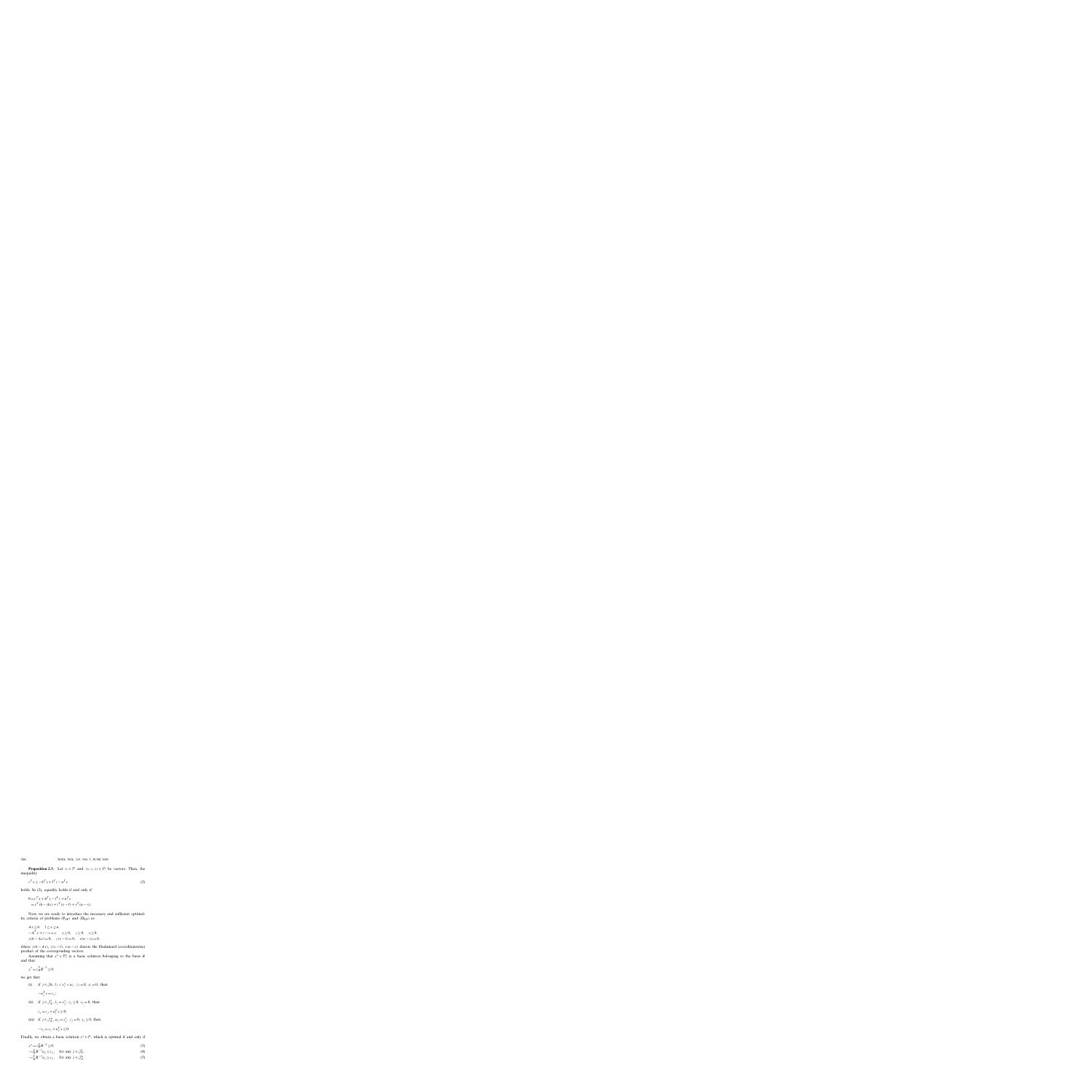**Proposition 2.3.** Let  $x \in \mathcal{P}$  and  $(y, z, s) \in \mathcal{D}$  be vectors. Then, the inequality

$$
c^T x \ge -b^T y + l^T z - u^T s \tag{2}
$$

holds. In (2), equality holds if and only if

$$
0 = cT x + bT y - lT z + uT s
$$
  
= y<sup>T</sup> (b - Ax) + z<sup>T</sup> (x - l) + s<sup>T</sup> (u - x).

Now, we are ready to introduce the necessary and sufficient optimality criteria of problems *(*PLP*)* and *(*DLP*)* as

$$
Ax \le b, \quad l \le x \le u,
$$
  
\n
$$
-AT y + z - s = c, \quad y \ge 0, \quad z \ge 0, \quad s \ge 0
$$
  
\n
$$
y(b - Ax) = 0, \quad z(x - l) = 0, \quad s(u - x) = 0,
$$

where  $y(b - Ax)$ ,  $z(x - l)$ ,  $s(u - x)$  denote the Hadamard (coordinatewise) product of the corresponding vectors.

Assuming that  $x^* \in \mathcal{P}_c^*$  is a basic solution belonging to the basis *B* and that

$$
y^* = c_B^T B^{-1} \ge 0,
$$

we get that:

- (i) if  $j \in \mathcal{J}_B$ ,  $l_j < x_j^* < u_j$ ,  $z_j = 0$ ,  $s_j = 0$ , then  $-a_j^T y = c_j;$
- (ii) if  $j \in \mathcal{J}_N^l$ ,  $l_j = x_j^*$ ,  $z_j \ge 0$ ,  $s_j = 0$ , then

$$
z_j = c_j + a_j^T y \ge 0;
$$

(iii) if  $j \in \mathcal{J}_N^u$ ,  $u_j = x_j^*$ ,  $z_j = 0$ ,  $s_j \ge 0$ , then  $-s_j = c_j + a_j^T y \le 0.$ 

Finally, we obtain a basic solution  $x^* \in \mathcal{P}$ , which is optimal if and only if

$$
y^* = c_B^T B^{-1} \ge 0,\tag{3}
$$

$$
-c_B^T B^{-1} a_j \le c_j, \quad \text{for any } j \in \mathcal{J}_N^l,
$$
 (4)

$$
-c_B^T B^{-1} a_j \ge c_j, \quad \text{for any } j \in \mathcal{J}_N^u. \tag{5}
$$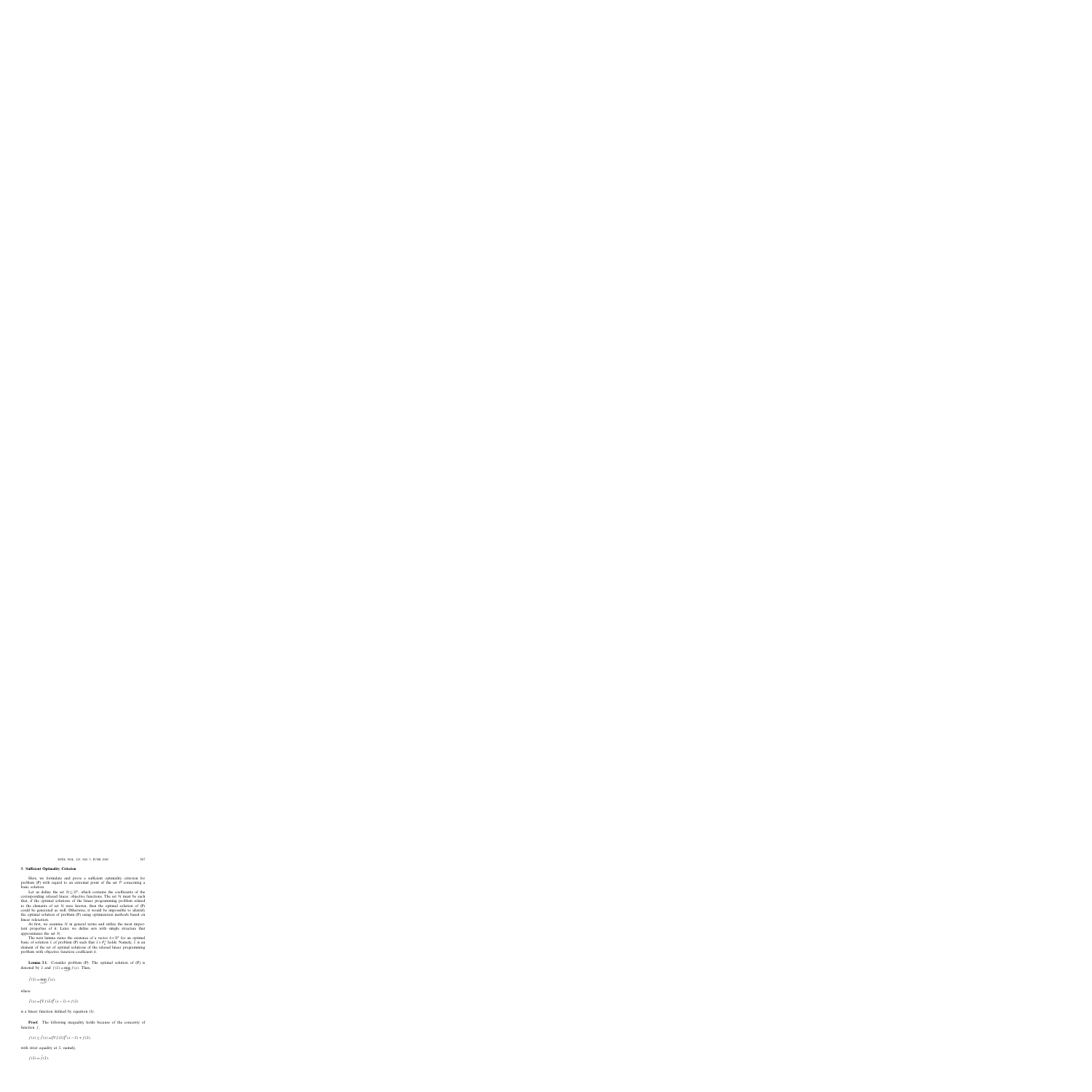#### **3. Sufficient Optimality Criterion**

Here, we formulate and prove a sufficient optimality criterion for problem (P) with regard to an extremal point of the set  $P$  concerning a basic solution.

Let us define the set  $\mathcal{H} \subseteq \mathbb{R}^n$ , which contains the coefficients of the corresponding relaxed linear, objective functions. The set  $H$  must be such that, if the optimal solutions of the linear programming problem related to the elements of set  $H$  were known, then the optimal solution of  $(P)$ could be generated as well. Otherwise, it would be impossible to identify the optimal solution of problem (P) using optimization methods based on linear relaxation.

At first, we examine  $H$  in general terms and utilize the most important properties of it. Later, we define sets with simple structure that approximates the set  $H$ .

The next lemma states the existence of a vector  $h \in \mathbb{R}^n$  for an optimal basic of solution  $\hat{x}$  of problem (P) such that  $\hat{x} \in P_h^*$  holds. Namely,  $\hat{x}$  is an element of the set of optimal solutions of the relaxed linear programming problem with objective function coefficient *h*.

**Lemma 3.1.** Consider problem (P). The optimal solution of (P) is denoted by  $\hat{x}$  and  $f(\hat{x}) = \min_{x \in \mathcal{P}} f(x)$ . Then,

$$
\bar{f}(\hat{x}) = \min_{x \in \mathcal{P}} \bar{f}(x),
$$

where

$$
\bar{f}(x) = [\nabla f(\hat{x})]^T (x - \hat{x}) + f(\hat{x})
$$

is a linear function defined by equation (1).

**Proof.** The following inequality holds because of the concavity of function  $f$ ,

$$
f(x) \le \bar{f}(x) = [\nabla f(\hat{x})]^T (x - \hat{x}) + f(\hat{x}),
$$

with strict equality at  $\hat{x}$ ; namely,

 $f(\hat{x}) = \bar{f}(\hat{x})$ .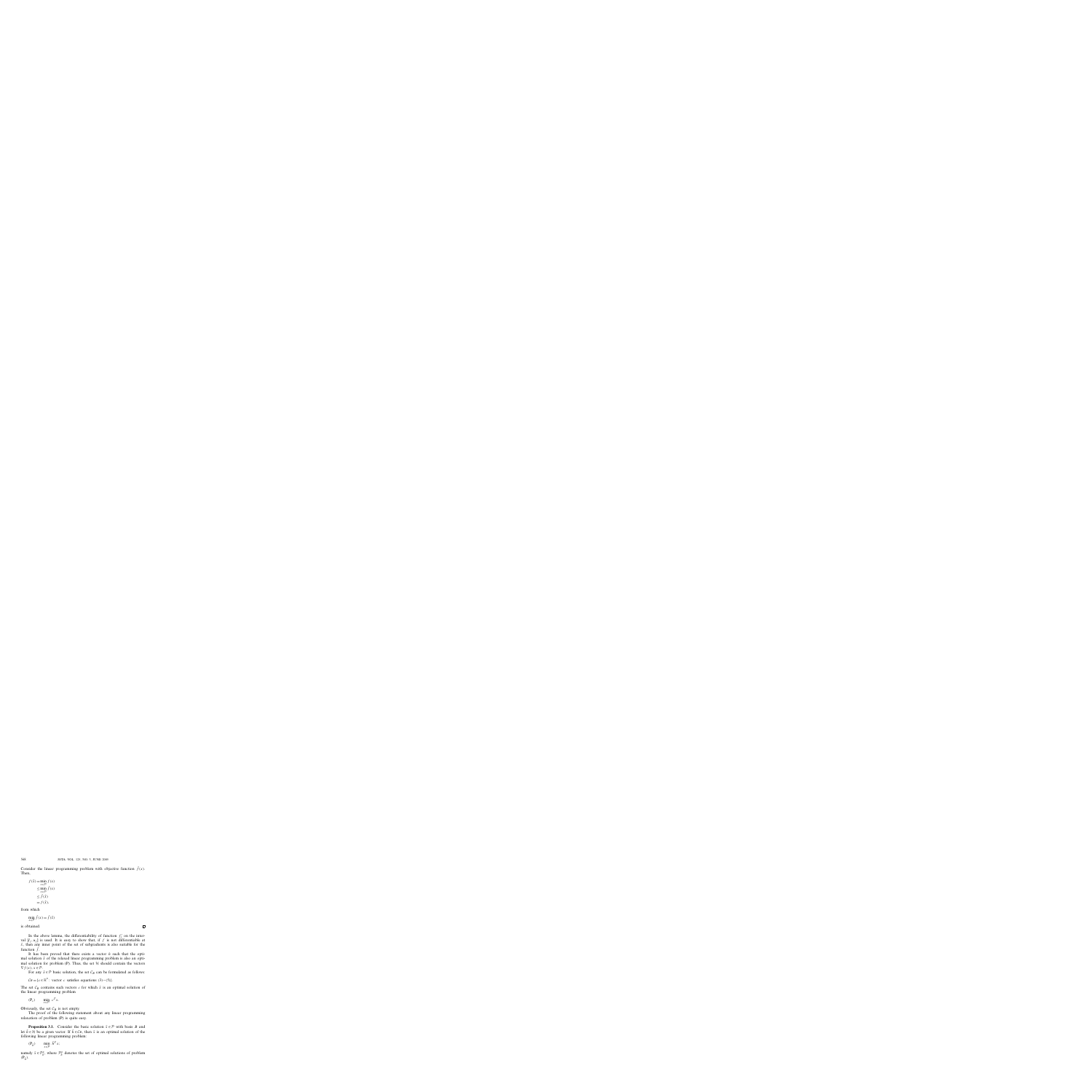Consider the linear programming problem with objective function  $f(x)$ . Then,

$$
f(\hat{x}) = \min_{x \in \mathcal{P}} f(x)
$$
  
\n
$$
\leq \min_{x \in \mathcal{P}} \bar{f}(x)
$$
  
\n
$$
\leq \bar{f}(\hat{x})
$$
  
\n
$$
= f(\hat{x}),
$$

from which

$$
\min_{x \in \mathcal{P}} \bar{f}(x) = \bar{f}(\hat{x})
$$

is obtained.

 $\Box$ 

In the above lemma, the differentiability of function  $f'_{j}$  on the interval  $[l_j, u_j]$  is used. It is easy to show that, if *f* is not differentiable at  $\bar{x}$ , then any inner point of the set of subgradients is also suitable for the function  $\bar{f}$ .

It has been proved that there exists a vector *h* such that the optimal solution  $\hat{x}$  of the relaxed linear programming problem is also an optimal solution for problem (P). Thus, the set  $H$  should contain the vectors  $\nabla f(x), x \in \mathcal{P}.$ 

For any  $\bar{x} \in \mathcal{P}$  basic solution, the set  $\mathcal{C}_B$  can be formulated as follows:

 $C_B = \{c \in \mathbb{R}^n : \text{vector } c \text{ satisfies equations } (3) - (5)\}.$ 

The set  $C_B$  contains such vectors *c* for which  $\bar{x}$  is an optimal solution of the linear programming problem

 $(P_c)$  min  $c^T x$ .

Obviously, the set  $C_B$  is not empty.

The proof of the following statement about any linear programming relaxation of problem (P) is quite easy.

**Proposition 3.1.** Consider the basic solution  $\bar{x} \in \mathcal{P}$  with basis *B* and let  $\bar{h} \in \mathcal{H}$  be a given vector. If  $\bar{h} \in \mathcal{C}_B$ , then  $\bar{x}$  is an optimal solution of the following linear programming problem:

$$
(\mathbf{P}_{\bar{h}}) \qquad \min_{x \in \mathcal{P}} \ \bar{h}^T x;
$$

namely  $\bar{x} \in \mathcal{P}_{\bar{h}}^*$ , where  $\mathcal{P}_{\bar{h}}^*$  denotes the set of optimal solutions of problem  $(P_{\bar{h}})$ .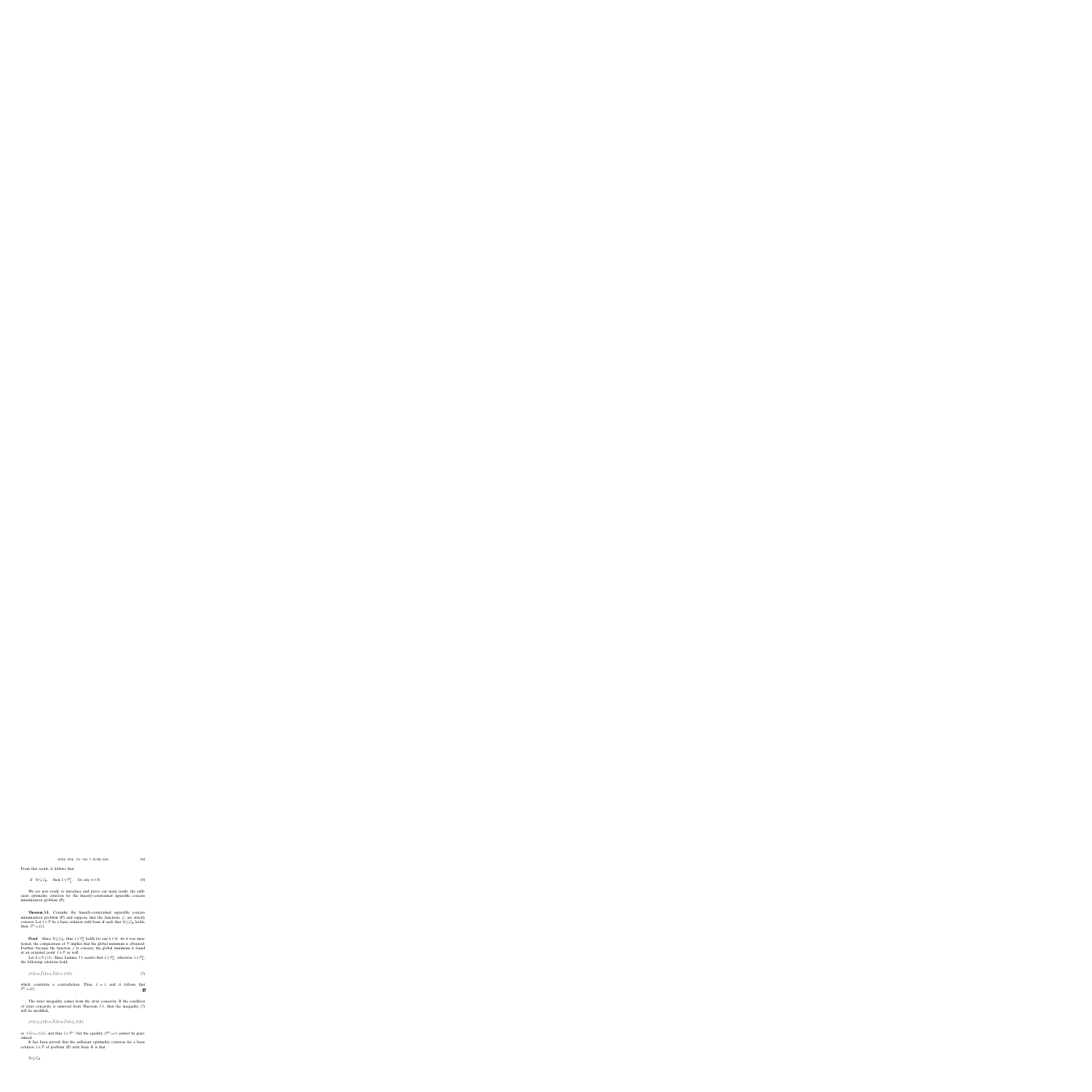From this result, it follows that

if 
$$
\mathcal{H} \subseteq \mathcal{C}_B
$$
, then  $\bar{x} \in \mathcal{P}_{\bar{h}}^*$ , for any  $h \in \mathcal{H}$ . (6)

We are now ready to introduce and prove our main result, the sufficient optimality criterion for the linearly-constrained separable concave minimization problem (P).

**Theorem 3.1.** Consider the linearly-constrained separable concave minimization problem (P) and suppose that the functions  $f_j$  are strictly concave. Let  $\bar{x} \in \mathcal{P}$  be a basic solution with basis *B* such that  $\mathcal{H} \subseteq \mathcal{C}_B$  holds; then,  $\mathcal{P}^* = \{\bar{x}\}.$ 

**Proof.** Since  $H \subseteq C_B$ , thus  $\bar{x} \in \mathcal{P}_h^*$  holds for any  $h \in \mathcal{H}$ . As it was mentioned, the compactness of  $P$  implies that the global minimum is obtained. Further, because the function *f* is concave, the global minimum is found at an extremal point  $\hat{x} \in \mathcal{P}$  as well.

Let  $\hat{h} = \nabla f(\hat{x})$ . Since Lemma 3.1 asserts that  $\hat{x} \in \mathcal{P}_{\hat{h}}^*$ , otherwise  $\bar{x} \in \mathcal{P}_{\hat{h}}^*$ , the following relations hold;

$$
f(\hat{x}) = \bar{f}(\hat{x}) = \bar{f}(\bar{x}) > f(\bar{x}),
$$
\n(7)

which constitute a contradiction. Thus,  $\hat{x} = \bar{x}$  and it follows that  $\mathcal{P}^* = {\bar{x}}.$  $\Box$ 

The strict inequality comes from the strict concavity. If the condition of strict concavity is removed from Theorem 3.1, then the inequality (7) will be modified,

$$
f(\bar{x}) \ge f(\hat{x}) = \bar{f}(\hat{x}) = \bar{f}(\bar{x}) \ge f(\bar{x}),
$$

so  $f(\bar{x}) = f(\hat{x})$ , and thus  $\bar{x} \in \mathcal{P}^*$ , but the equality  $|\mathcal{P}^*| = 1$  cannot be guaranteed.

It has been proved that the sufficient optimality criterion for a basic solution  $\bar{x} \in \mathcal{P}$  of problem (P) with basis *B* is that

 $H \subset C_R$ .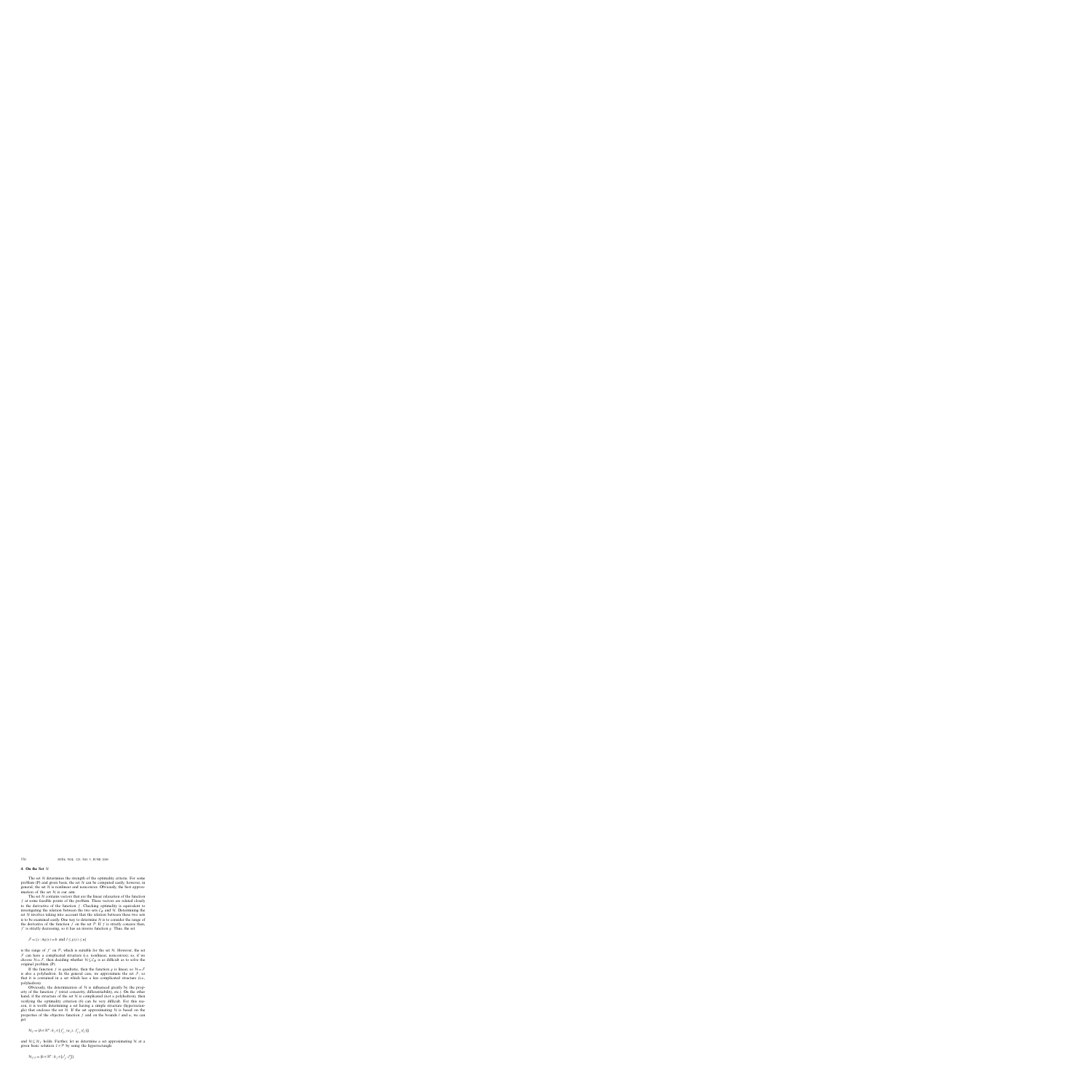#### **4.** On the Set  $H$

The set  $H$  determines the strength of the optimality criteria. For some problem (P) and given basis, the set  $H$  can be computed easily; however, in general, the set  $H$  is nonlinear and nonconvex. Obviously, the best approximation of the set  $H$  is our aim.

The set  $H$  contains vectors that are the linear relaxation of the function *f* at some feasible points of the problem. These vectors are related closely to the derivative of the function *f* . Checking optimality is equivalent to investigating the relation between the two sets  $\mathcal{C}_B$  and  $\mathcal{H}$ . Determining the set  $H$  involves taking into account that the relation between these two sets is to be examined easily. One way to determine  $H$  is to consider the range of the derivative of the function  $f$  on the set  $P$ . If  $f$  is strictly concave then,  $f'$  is strictly decreasing, so it has an inverse function  $g$ . Thus, the set

$$
\mathcal{F} = \{ y : Ag(y) = b \text{ and } l \le g(y) \le u \}
$$

is the range of  $f'$  on  $P$ , which is suitable for the set  $H$ . However, the set  $F$  can have a complicated structure (i.e. nonlinear, nonconvex); so, if we choose  $H = \mathcal{F}$ , then deciding whether  $H \subseteq C_B$  is as difficult as to solve the original problem (P).

If the function *f* is quadratic, then the function *g* is linear, so  $\mathcal{H} = \mathcal{F}$ is also a polyhedron. In the general case, we approximate the set  $\mathcal{F}$ , so that it is contained in a set which has a less complicated structure (i.e., polyhedron).

Obviously, the determination of  $H$  is influenced greatly by the property of the function *f* (strict concavity, differentiability, etc.). On the other hand, if the structure of the set  $H$  is complicated (not a polyhedron), then verifying the optimality criterion (6) can be very difficult. For this reason, it is worth determining a set having a simple structure (hyperrectangle) that encloses the set  $H$ . If the set approximating  $H$  is based on the properties of the objective function *f* and on the bounds *l* and *u*, we can get

$$
\mathcal{H}_f = \{ h \in \mathbb{R}^n : h_j \in [f'_{j-}(u_j), f'_{j+}(l_j)] \}
$$

and  $H \subseteq H_f$  holds. Further, let us determine a set approximating H at a given basic solution  $\bar{x} \in \mathcal{P}$  by using the hyperrectangle

$$
\mathcal{H}_{f,\bar{x}} = \{h \in \mathbb{R}^n : h_j \in [c_j^l, c_j^u]\}.
$$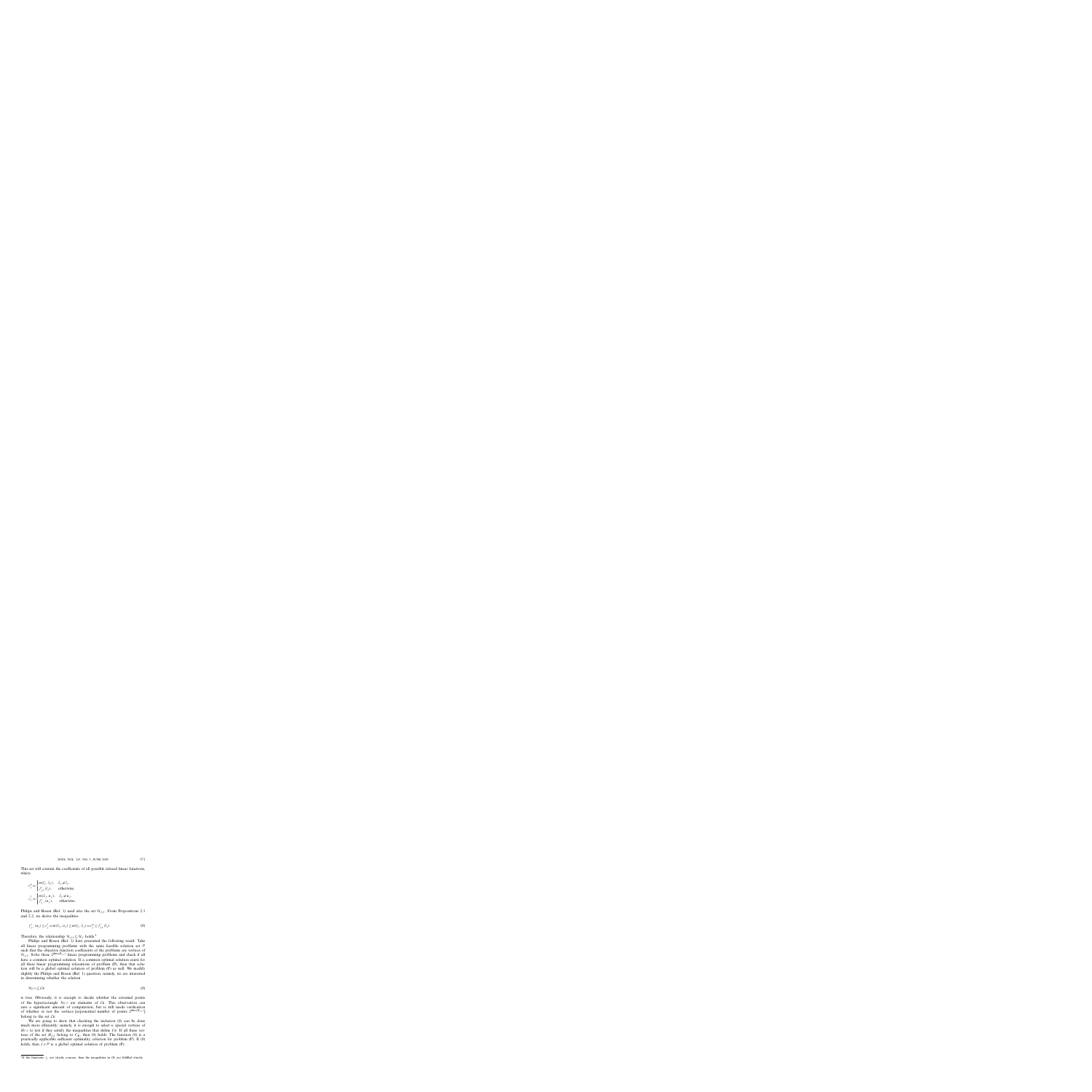This set will contain the coefficients of all possible relaxed linear functions, where

$$
c_j^u = \begin{cases} m(l_j, \bar{x}_j), & \bar{x}_j \neq l_j, \\ f'_{j+}(l_j), & \text{otherwise,} \end{cases}
$$
  

$$
c_j^l = \begin{cases} m(\bar{x}_j, u_j), & \bar{x}_j \neq u_j, \\ f'_{j-}(u_j), & \text{otherwise.} \end{cases}
$$

Philips and Rosen (Ref. 1) used also the set  $\mathcal{H}_{f,\bar{x}}$ . From Propositions 2.1 and 2.2, we derive the inequalities

$$
f'_{j-}(u_j) \le c_j^l = m(\bar{x}_j, u_j) \le m(l_j, \bar{x}_j) = c_j^u \le f'_{j+}(l_j).
$$
\n(8)

Therefore, the relationship  $\mathcal{H}_{f,\bar{x}} \subseteq \mathcal{H}_f$  holds.<sup>5</sup>

Philips and Rosen (Ref. 1) have presented the following result: Take all linear programming problems with the same feasible solution set  $P$ such that the objective function coefficients of the problems are vertices of  $\mathcal{H}_{f,\bar{x}}$ . Solve these  $2^{\dim(H_{f,\bar{x}})}$  linear programming problems and check if all have a common optimal solution. If a common optimal solution exists for all these linear programming relaxations of problem (P), then that solution will be a global optimal solution of problem (P) as well. We modify slightly the Philips and Rosen (Ref. 1) question; namely, we are interested in determining whether the relation

$$
\mathcal{H}_{f,\bar{x}} \subseteq \mathcal{C}_B \tag{9}
$$

is true. Obviously, it is enough to decide whether the extremal points of the hyperrectangle  $\mathcal{H}_{f,\bar{x}}$  are elements of  $\mathcal{C}_B$ . This observation can save a significant amount of computation, but is still needs verification of whether or not the vertices [exponential number of points  $2^{\dim(H_{f,\bar{x}})}$ ] belong to the set  $C_B$ .

We are going to show that checking the inclusion (9) can be done much more efficiently; namely, it is enough to select *n* special vertices of  $H_{f,\bar{x}}$  to test if they satisfy the inequalities that define  $C_B$ . If all these vertices of the set  $H_{f,\bar{x}}$  belong to  $C_B$ , then (9) holds. The function (9) is a practically applicable sufficient optimality criterion for problem (P). If (9) holds, then  $\bar{x} \in \mathcal{P}$  is a global optimal solution of problem (P).

<sup>&</sup>lt;sup>5</sup>If the functions  $f_j$  are strictly concave, then the inequalities in (8) are fulfilled strictly.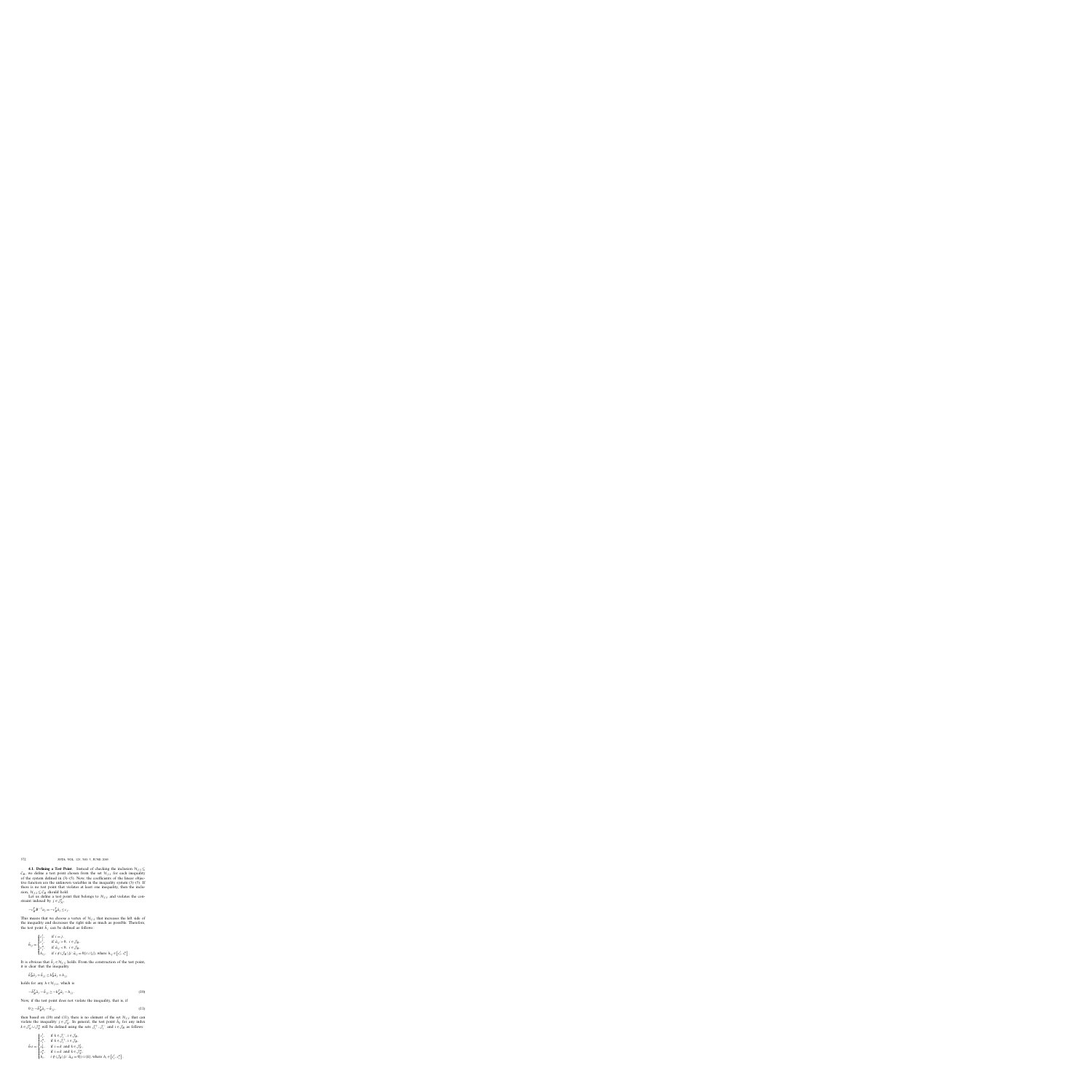**4.1. Defining a Test Point.** Instead of checking the inclusion  $\mathcal{H}_{f,\bar{x}} \subseteq$  $\mathcal{C}_B$ , we define a test point chosen from the set  $\mathcal{H}_{f,\bar{x}}$  for each inequality of the system defined in  $(3)$ – $(5)$ . Now, the coefficients of the linear objective function are the unknown variables in the inequality system  $(3)$ – $(5)$ . If there is no test point that violates at least one inequality, then the inclusion,  $\mathcal{H}_{f,\bar{x}} \subseteq \mathcal{C}_B$  should hold.

Let us define a test point that belongs to  $\mathcal{H}_{f,\bar{x}}$  and violates the constraint indexed by  $j \in \mathcal{J}_N^l$ ,

$$
-c_B^T B^{-1} a_j = -c_B^T \bar{a}_j \le c_j.
$$

This means that we choose a vertex of  $\mathcal{H}_{f,\bar{x}}$  that increases the left side of the inequality and decreases the right side as much as possible. Therefore, the test point  $\bar{h}_j$  can be defined as follows:

$$
\bar{h}_{ij} = \begin{cases}\nc_j^l, & \text{if } i = j, \\
c_j^l, & \text{if } \bar{a}_{ij} > 0, \ i \in \mathcal{J}_B, \\
c_j^u, & \text{if } \bar{a}_{ij} < 0, \ i \in \mathcal{J}_B, \\
h_{ij}, & \text{if } i \notin (\mathcal{J}_B \setminus \{i : \bar{a}_{ij} = 0\}) \cup \{j\}, \text{ where } h_{ij} \in \left[c_i^l, c_i^u\right].\n\end{cases}
$$

It is obvious that  $\bar{h}_j \in \mathcal{H}_{f,\bar{x}}$  holds. From the construction of the test point, it is clear that the inequality

$$
\bar{h}_B^T \bar{a}_j + \bar{h}_{jj} \le h_B^T \bar{a}_j + h_{jj}
$$

holds for any  $h \in \mathcal{H}_{f,\bar{x}}$ , which is

$$
-\bar{h}_B^T \bar{a}_j - \bar{h}_{jj} \ge -h_B^T \bar{a}_j - h_{jj}.
$$
\n
$$
(10)
$$

Now, if the test point does not violate the inequality, that is, if

$$
0 \ge -\bar{h}_B^T \bar{a}_j - \bar{h}_{jj},\tag{11}
$$

then based on (10) and (11), there is no element of the set  $\mathcal{H}_{f,\bar{x}}$  that can violate the inequality  $j \in \mathcal{J}_N^l$ . In general, the test point  $\bar{h}_k$  for any index  $k \in \mathcal{J}_N^l \cup \mathcal{J}_N^u$  will be defined using the sets  $\mathcal{J}_i^+$ ,  $\mathcal{J}_i^-$  and  $i \in \mathcal{J}_B$  as follows:

$$
\bar{h}_{ik} = \begin{cases}\nc_i^l, & \text{if } k \in \mathcal{J}_i^-, i \in \mathcal{J}_B, \\
c_i^u, & \text{if } k \in \mathcal{J}_i^+, i \in \mathcal{J}_B, \\
c_k^l, & \text{if } i = k \text{ and } k \in \mathcal{J}_N^l, \\
c_k^u, & \text{if } i = k \text{ and } k \in \mathcal{J}_N^u, \\
h_i, & i \notin (\mathcal{J}_B \setminus \{i : \bar{a}_{ik} = 0\}) \cup \{k\}, \text{where } h_i \in [c_i^l, c_i^u],\n\end{cases}
$$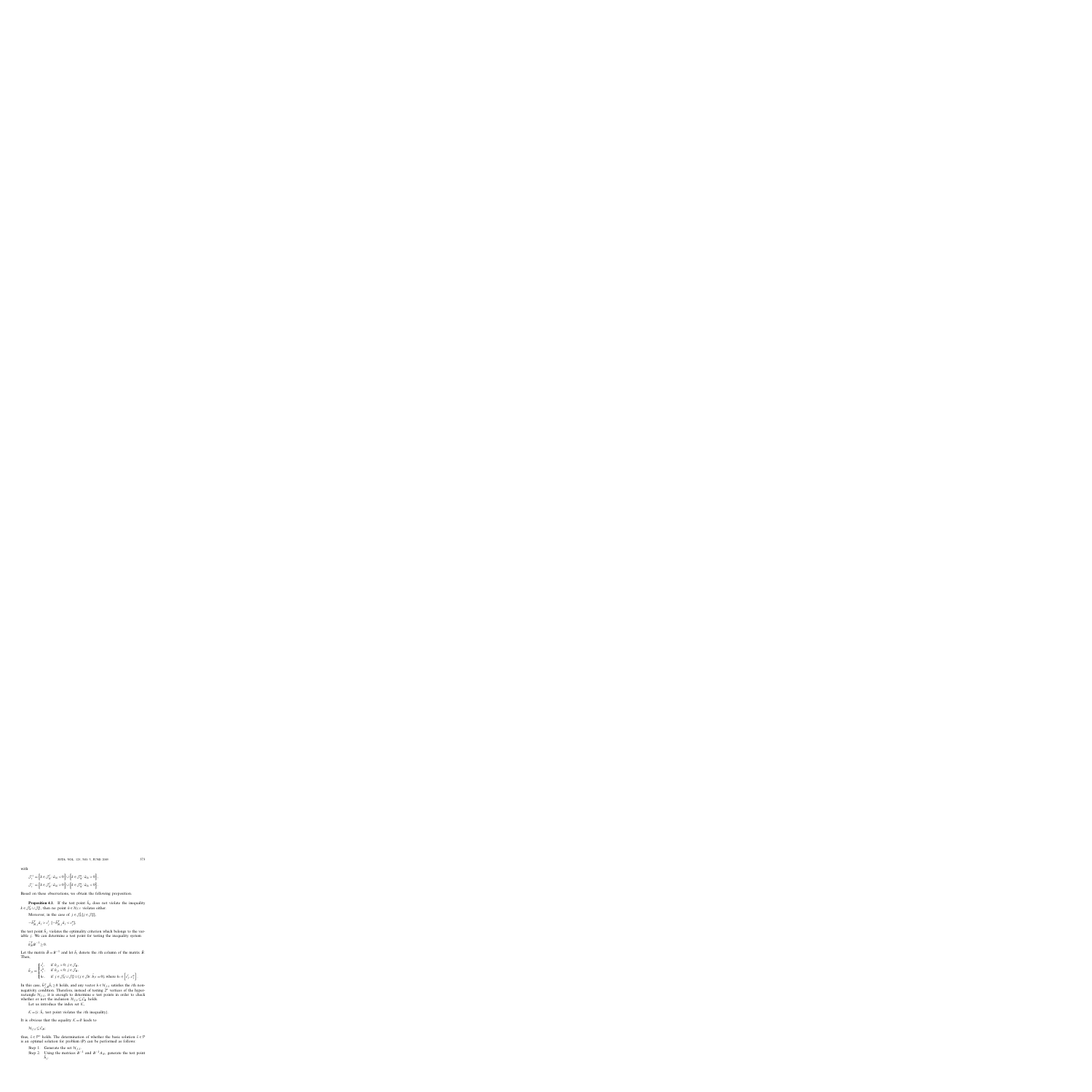with

$$
\mathcal{J}_i^+ = \left\{ k \in \mathcal{J}_N^l : \bar{a}_{ik} < 0 \right\} \cup \left\{ k \in \mathcal{J}_N^u : \bar{a}_{ik} > 0 \right\},
$$
\n
$$
\mathcal{J}_i^- = \left\{ k \in \mathcal{J}_N^l : \bar{a}_{ik} > 0 \right\} \cup \left\{ k \in \mathcal{J}_N^u : \bar{a}_{ik} < 0 \right\}.
$$

Based on these observations, we obtain the following proposition.

**Proposition 4.1.** If the test point  $\bar{h}_k$  does not violate the inequality  $k \in \mathcal{J}_N^l \cup \mathcal{J}_N^u$ , then no point  $h \in \mathcal{H}_{f,\bar{x}}$  violates either.

Moreover, in the case of  $j \in \mathcal{J}_N^l[j \in \mathcal{J}_N^u]$ ,

$$
-\bar{h}_{B,j}^T \bar{a}_j > c_j^l \left[ -\bar{h}_{B,j}^T \bar{a}_j < c_j^u \right],
$$

the test point  $\bar{h}_j$  violates the optimality criterion which belongs to the variable  $j$ . We can determine a test point for testing the inequality system

$$
\bar{h}_B^T B^{-1} \ge 0.
$$

Let the matrix  $\bar{B} = B^{-1}$  and let  $\bar{b}_i$  denote the *i*th column of the matrix  $\bar{B}$ . Then,

$$
\bar{h}_{ji} = \begin{cases}\nc_i^l, & \text{if } b_{ji} > 0, \ j \in \mathcal{J}_B, \\
c_i^u, & \text{if } b_{ji} < 0, \ j \in \mathcal{J}_B, \\
h_i, & \text{if } j \in \mathcal{J}_N^l \cup \mathcal{J}_N^u \cup \{j \in \mathcal{J}_B : \bar{b}_{ji} = 0\},\n\end{cases}
$$
\nwhere  $h_i \in \left[c_j^l, c_j^u\right]$ .

In this case,  $\bar{h}_{j,B}^T \bar{b}_i \ge 0$  holds, and any vector  $h \in \mathcal{H}_{f,\bar{x}}$  satisfies the *i*th nonnegativity condition. Therefore, instead of testing 2*<sup>n</sup>* vertices of the hyperrectangle  $\mathcal{H}_{f,\bar{x}}$ , it is enough to determine *n* test points in order to check whether or not the inclusion  $\mathcal{H}_{f,\bar{x}} \subseteq \mathcal{C}_B$  holds.

Let us introduce the index set  $K$ ,

 $K = \{i : \bar{h}_i$  test point violates the *i*th inequality}.

It is obvious that the equality  $K = \emptyset$  leads to

 $\mathcal{H}_{f\bar{x}} \subset \mathcal{C}_B$ ;

thus,  $\bar{x} \in \mathcal{P}^*$  holds. The determination of whether the basic solution  $\bar{x} \in \mathcal{P}$ is an optimal solution for problem (P) can be performed as follows:

Step 1. Generate the set  $\mathcal{H}_{f,\bar{x}}$ . Step 2. Using the matrices  $B^{-1}$  and  $B^{-1}A_N$ , generate the test point  $\bar{h}$  *i* .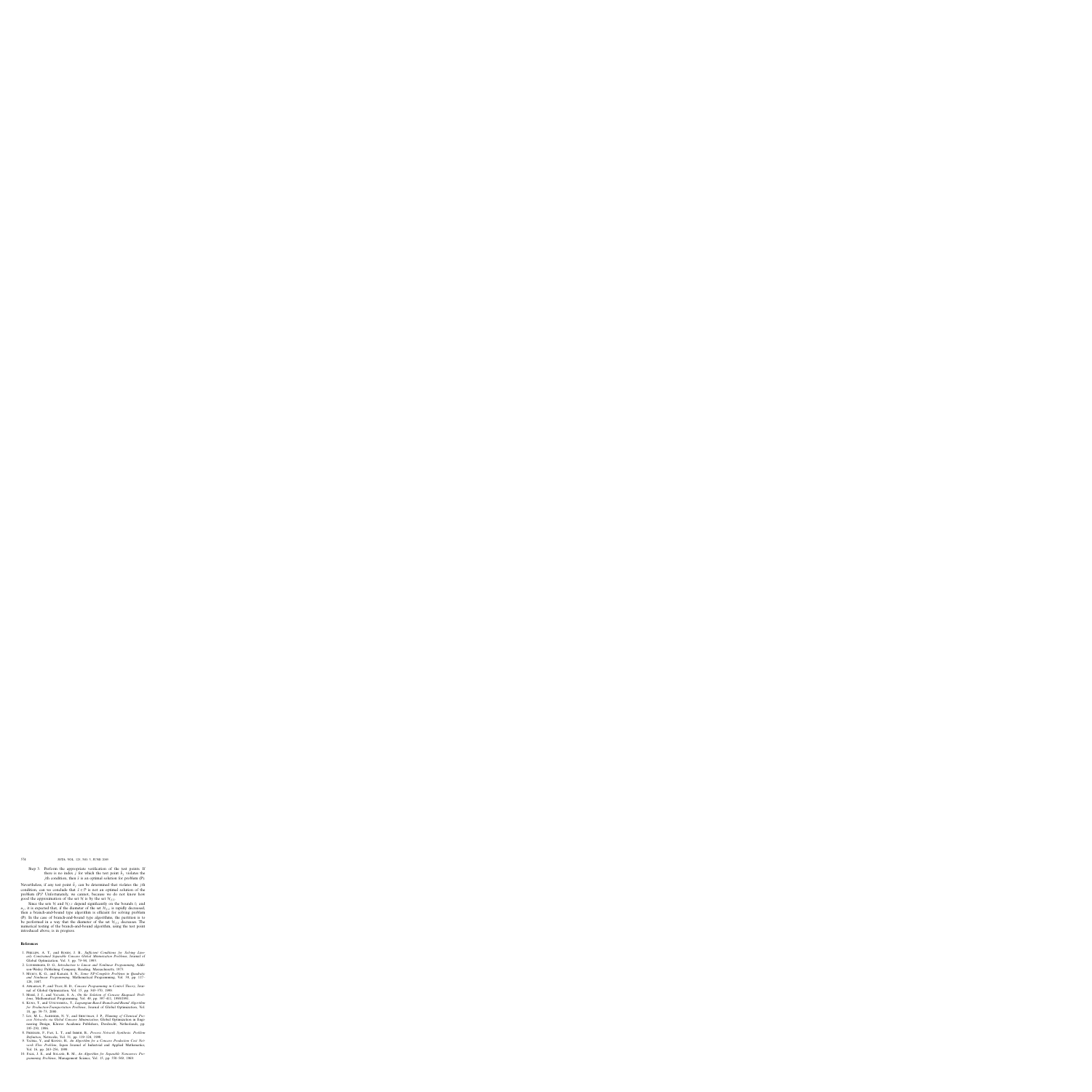Step 3. Perform the appropriate verification of the test points. If there is no index *j* for which the test point  $\bar{h}_j$  violates the *j*th condition, then  $\bar{x}$  is an optimal solution for problem (P).

Nevertheless, if any test point  $\bar{h}_j$  can be determined that violates the *j*th condition, can we conclude that  $\bar{x} \in \mathcal{P}$  is not an optimal solution of the problem (P)? Unfortunately, we cannot, because we do not know how good the approximation of the set H is by the set  $\mathcal{H}_{f,\bar{x}}$ .

Since the sets H and  $\mathcal{H}_{f,\bar{x}}$  depend significantly on the bounds  $l_j$  and  $u_i$ , it is expected that, if the diameter of the set  $\mathcal{H}_{f,\bar{x}}$  is rapidly decreased, then a branch-and-bound type algorithm is efficient for solving problem (P). In the case of branch-and-bound type algorithms, the partition is to be performed in a way that the diameter of the set  $\mathcal{H}_{f,\bar{x}}$  decreases. The numerical testing of the branch-and-bound algorithm, using the test point introduced above, is in progress.

### **References**

- 1. Phillips, A. T., and Rosen, J. B., *Sufficient Conditions for Solving Linearly Constrained Separable Concave Global Minimization Problems*, Journal of Global Optimization, Vol. 3, pp. 79–94, 1993.
- 2. Luenberger, D. G., *Introduction to Linear and Nonlinear Programming*, Addison-Wesley Publishing Company, Reading, Massachusetts, 1973.
- 3. Murty, K. G., and Kabadi, S. N., *Some NP-Complete Problems in Quadratic and Nonlinear Programming*, Mathematical Programming, Vol. 39, pp. 117– 129, 1987.
- 4. Apkarian, P., and Tuan, H. D., *Concave Programming in Control Theory*, Journal of Global Optimization, Vol. 15, pp. 343–370, 1999.
- 5. Moré, J. J., and Vavasis, S. A., On the Solution of Concave Knapsack Prob*lems*, Mathematical Programming, Vol. 49, pp. 397–411, 1990/1991.
- 6. Kuno, T., and Utsunomiya, T., *Lagrangian-Based Branch-and-Bound Algorithm for Production-Transportation Problems*, Journal of Global Optimization, Vol. 18, pp. 59–73, 2000.
- 7. Liu, M. L., Sahinidis, N. V., and Shectman, J. P., *Planning of Chemical Process Networks via Global Concave Minimization*, Global Optimization in Engineering Design, Kluwer Academic Publishers, Dordrecht, Netherlands, pp. 195–230, 1996.
- 8. Friedler, F., Fan, L. T., and Imreh, B., *Process Network Synthesis: Problem Definition*, Networks, Vol. 31, pp. 119–124, 1998.
- 9. Yajima, Y., and Konno, H., *An Algorithm for a Concave Production Cost Network Flow Problem*, Japan Journal of Industrial and Applied Mathematics, Vol. 16, pp. 243–256, 1999.
- 10. FALK, J. E., and SOLAND, R. M., An Algorithm for Separable Nonconvex Pro*gramming Problems*, Management Science, Vol. 15, pp. 550–569, 1969.